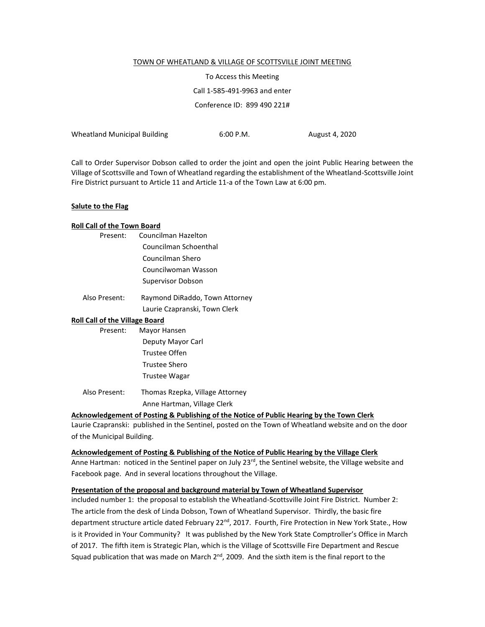#### TOWN OF WHEATLAND & VILLAGE OF SCOTTSVILLE JOINT MEETING

To Access this Meeting Call 1-585-491-9963 and enter Conference ID: 899 490 221#

Wheatland Municipal Building 6:00 P.M. August 4, 2020

Call to Order Supervisor Dobson called to order the joint and open the joint Public Hearing between the Village of Scottsville and Town of Wheatland regarding the establishment of the Wheatland-Scottsville Joint Fire District pursuant to Article 11 and Article 11-a of the Town Law at 6:00 pm.

#### **Salute to the Flag**

#### **Roll Call of the Town Board**

| Present: | Councilman Hazelton      |
|----------|--------------------------|
|          | Councilman Schoenthal    |
|          | Councilman Shero         |
|          | Councilwoman Wasson      |
|          | <b>Supervisor Dobson</b> |
|          |                          |

| Also Present: | Raymond DiRaddo, Town Attorney |  |  |
|---------------|--------------------------------|--|--|
|               | Laurie Czapranski, Town Clerk  |  |  |

#### **Roll Call of the Village Board**

| Present:      | Mayor Hansen                    |  |  |
|---------------|---------------------------------|--|--|
|               | Deputy Mayor Carl               |  |  |
|               | Trustee Offen                   |  |  |
|               | Trustee Shero                   |  |  |
|               | <b>Trustee Wagar</b>            |  |  |
| Also Present: | Thomas Rzepka, Village Attorney |  |  |

Anne Hartman, Village Clerk

#### **Acknowledgement of Posting & Publishing of the Notice of Public Hearing by the Town Clerk**

Laurie Czapranski: published in the Sentinel, posted on the Town of Wheatland website and on the door of the Municipal Building.

#### **Acknowledgement of Posting & Publishing of the Notice of Public Hearing by the Village Clerk**

Anne Hartman: noticed in the Sentinel paper on July 23<sup>rd</sup>, the Sentinel website, the Village website and Facebook page. And in several locations throughout the Village.

#### **Presentation of the proposal and background material by Town of Wheatland Supervisor**

included number 1: the proposal to establish the Wheatland-Scottsville Joint Fire District. Number 2: The article from the desk of Linda Dobson, Town of Wheatland Supervisor. Thirdly, the basic fire department structure article dated February 22<sup>nd</sup>, 2017. Fourth, Fire Protection in New York State., How is it Provided in Your Community? It was published by the New York State Comptroller's Office in March of 2017. The fifth item is Strategic Plan, which is the Village of Scottsville Fire Department and Rescue Squad publication that was made on March 2<sup>nd</sup>, 2009. And the sixth item is the final report to the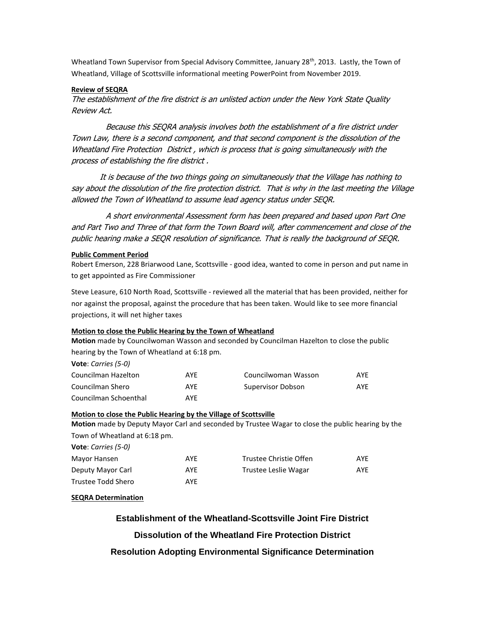Wheatland Town Supervisor from Special Advisory Committee, January 28<sup>th</sup>, 2013. Lastly, the Town of Wheatland, Village of Scottsville informational meeting PowerPoint from November 2019.

#### **Review of SEQRA**

The establishment of the fire district is an unlisted action under the New York State Quality Review Act.

 Because this SEQRA analysis involves both the establishment of a fire district under Town Law, there is a second component, and that second component is the dissolution of the Wheatland Fire Protection District , which is process that is going simultaneously with the process of establishing the fire district .

It is because of the two things going on simultaneously that the Village has nothing to say about the dissolution of the fire protection district. That is why in the last meeting the Village allowed the Town of Wheatland to assume lead agency status under SEQR.

 A short environmental Assessment form has been prepared and based upon Part One and Part Two and Three of that form the Town Board will, after commencement and close of the public hearing make a SEQR resolution of significance. That is really the background of SEQR.

#### **Public Comment Period**

Robert Emerson, 228 Briarwood Lane, Scottsville - good idea, wanted to come in person and put name in to get appointed as Fire Commissioner

Steve Leasure, 610 North Road, Scottsville - reviewed all the material that has been provided, neither for nor against the proposal, against the procedure that has been taken. Would like to see more financial projections, it will net higher taxes

#### **Motion to close the Public Hearing by the Town of Wheatland**

**Motion** made by Councilwoman Wasson and seconded by Councilman Hazelton to close the public hearing by the Town of Wheatland at 6:18 pm.

| AYF | Councilwoman Wasson | <b>AYF</b> |
|-----|---------------------|------------|
| AYF | Supervisor Dobson   | AYE        |
| AYF |                     |            |
|     |                     |            |

## **Motion to close the Public Hearing by the Village of Scottsville**

**Motion** made by Deputy Mayor Carl and seconded by Trustee Wagar to close the public hearing by the Town of Wheatland at 6:18 pm.

| Vote: Carries (5-0) |     |                        |            |
|---------------------|-----|------------------------|------------|
| Mayor Hansen        | AYF | Trustee Christie Offen | <b>AYF</b> |
| Deputy Mayor Carl   | AYF | Trustee Leslie Wagar   | AYE        |
| Trustee Todd Shero  | AYF |                        |            |

#### **SEQRA Determination**

**Establishment of the Wheatland-Scottsville Joint Fire District Dissolution of the Wheatland Fire Protection District Resolution Adopting Environmental Significance Determination**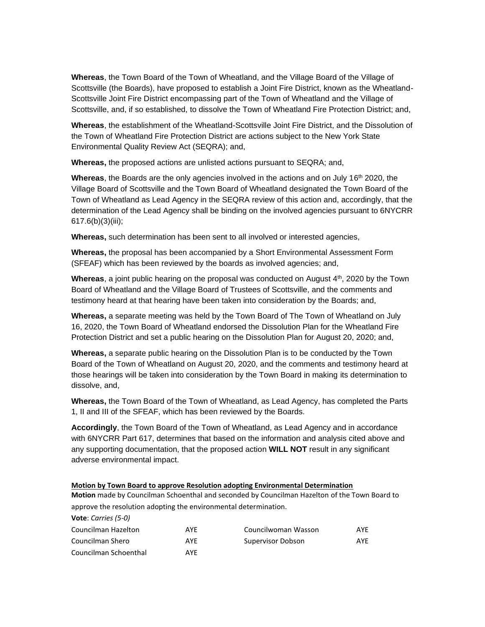**Whereas**, the Town Board of the Town of Wheatland, and the Village Board of the Village of Scottsville (the Boards), have proposed to establish a Joint Fire District, known as the Wheatland-Scottsville Joint Fire District encompassing part of the Town of Wheatland and the Village of Scottsville, and, if so established, to dissolve the Town of Wheatland Fire Protection District; and,

**Whereas**, the establishment of the Wheatland-Scottsville Joint Fire District, and the Dissolution of the Town of Wheatland Fire Protection District are actions subject to the New York State Environmental Quality Review Act (SEQRA); and,

**Whereas,** the proposed actions are unlisted actions pursuant to SEQRA; and,

Whereas, the Boards are the only agencies involved in the actions and on July 16<sup>th</sup> 2020, the Village Board of Scottsville and the Town Board of Wheatland designated the Town Board of the Town of Wheatland as Lead Agency in the SEQRA review of this action and, accordingly, that the determination of the Lead Agency shall be binding on the involved agencies pursuant to 6NYCRR 617.6(b)(3)(iii);

**Whereas,** such determination has been sent to all involved or interested agencies,

**Whereas,** the proposal has been accompanied by a Short Environmental Assessment Form (SFEAF) which has been reviewed by the boards as involved agencies; and,

Whereas, a joint public hearing on the proposal was conducted on August 4<sup>th</sup>, 2020 by the Town Board of Wheatland and the Village Board of Trustees of Scottsville, and the comments and testimony heard at that hearing have been taken into consideration by the Boards; and,

**Whereas,** a separate meeting was held by the Town Board of The Town of Wheatland on July 16, 2020, the Town Board of Wheatland endorsed the Dissolution Plan for the Wheatland Fire Protection District and set a public hearing on the Dissolution Plan for August 20, 2020; and,

**Whereas,** a separate public hearing on the Dissolution Plan is to be conducted by the Town Board of the Town of Wheatland on August 20, 2020, and the comments and testimony heard at those hearings will be taken into consideration by the Town Board in making its determination to dissolve, and,

**Whereas,** the Town Board of the Town of Wheatland, as Lead Agency, has completed the Parts 1, II and III of the SFEAF, which has been reviewed by the Boards.

**Accordingly**, the Town Board of the Town of Wheatland, as Lead Agency and in accordance with 6NYCRR Part 617, determines that based on the information and analysis cited above and any supporting documentation, that the proposed action **WILL NOT** result in any significant adverse environmental impact.

#### **Motion by Town Board to approve Resolution adopting Environmental Determination**

**Motion** made by Councilman Schoenthal and seconded by Councilman Hazelton of the Town Board to approve the resolution adopting the environmental determination.

| Vote: Carries (5-0)   |     |                     |     |
|-----------------------|-----|---------------------|-----|
| Councilman Hazelton   | AYF | Councilwoman Wasson | AYF |
| Councilman Shero      | AYF | Supervisor Dobson   | AYF |
| Councilman Schoenthal | AYF |                     |     |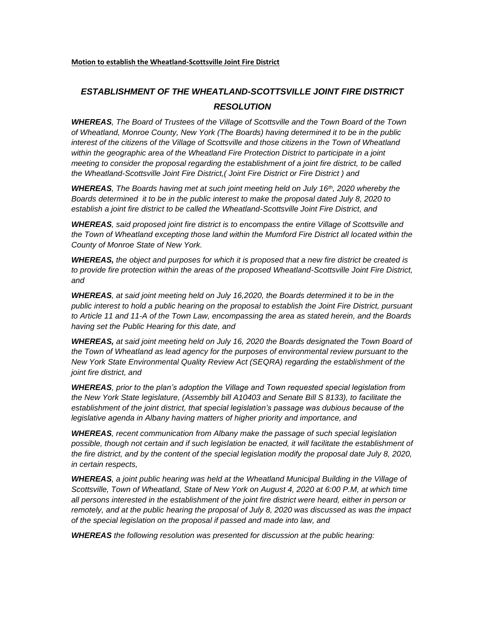# *ESTABLISHMENT OF THE WHEATLAND-SCOTTSVILLE JOINT FIRE DISTRICT RESOLUTION*

*WHEREAS, The Board of Trustees of the Village of Scottsville and the Town Board of the Town of Wheatland, Monroe County, New York (The Boards) having determined it to be in the public interest of the citizens of the Village of Scottsville and those citizens in the Town of Wheatland within the geographic area of the Wheatland Fire Protection District to participate in a joint meeting to consider the proposal regarding the establishment of a joint fire district, to be called the Wheatland-Scottsville Joint Fire District,( Joint Fire District or Fire District ) and* 

*WHEREAS, The Boards having met at such joint meeting held on July 16th , 2020 whereby the Boards determined it to be in the public interest to make the proposal dated July 8, 2020 to establish a joint fire district to be called the Wheatland-Scottsville Joint Fire District, and* 

*WHEREAS, said proposed joint fire district is to encompass the entire Village of Scottsville and the Town of Wheatland excepting those land within the Mumford Fire District all located within the County of Monroe State of New York.* 

*WHEREAS, the object and purposes for which it is proposed that a new fire district be created is*  to provide fire protection within the areas of the proposed Wheatland-Scottsville Joint Fire District, *and* 

*WHEREAS, at said joint meeting held on July 16,2020, the Boards determined it to be in the public interest to hold a public hearing on the proposal to establish the Joint Fire District, pursuant to Article 11 and 11-A of the Town Law, encompassing the area as stated herein, and the Boards having set the Public Hearing for this date, and* 

*WHEREAS, at said joint meeting held on July 16, 2020 the Boards designated the Town Board of the Town of Wheatland as lead agency for the purposes of environmental review pursuant to the New York State Environmental Quality Review Act (SEQRA) regarding the establishment of the joint fire district, and*

*WHEREAS, prior to the plan's adoption the Village and Town requested special legislation from the New York State legislature, (Assembly bill A10403 and Senate Bill S 8133), to facilitate the establishment of the joint district, that special legislation's passage was dubious because of the legislative agenda in Albany having matters of higher priority and importance, and* 

*WHEREAS, recent communication from Albany make the passage of such special legislation*  possible, though not certain and if such legislation be enacted, it will facilitate the establishment of *the fire district, and by the content of the special legislation modify the proposal date July 8, 2020, in certain respects,* 

*WHEREAS, a joint public hearing was held at the Wheatland Municipal Building in the Village of Scottsville, Town of Wheatland, State of New York on August 4, 2020 at 6:00 P.M, at which time all persons interested in the establishment of the joint fire district were heard, either in person or remotely, and at the public hearing the proposal of July 8, 2020 was discussed as was the impact of the special legislation on the proposal if passed and made into law, and* 

*WHEREAS the following resolution was presented for discussion at the public hearing:*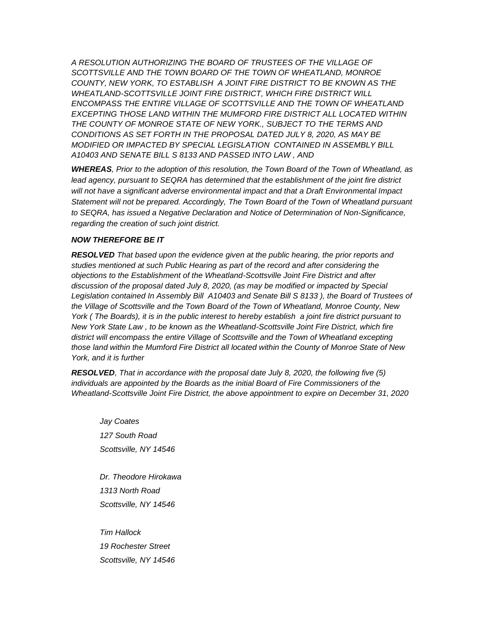*A RESOLUTION AUTHORIZING THE BOARD OF TRUSTEES OF THE VILLAGE OF SCOTTSVILLE AND THE TOWN BOARD OF THE TOWN OF WHEATLAND, MONROE COUNTY, NEW YORK, TO ESTABLISH A JOINT FIRE DISTRICT TO BE KNOWN AS THE WHEATLAND-SCOTTSVILLE JOINT FIRE DISTRICT, WHICH FIRE DISTRICT WILL ENCOMPASS THE ENTIRE VILLAGE OF SCOTTSVILLE AND THE TOWN OF WHEATLAND EXCEPTING THOSE LAND WITHIN THE MUMFORD FIRE DISTRICT ALL LOCATED WITHIN THE COUNTY OF MONROE STATE OF NEW YORK., SUBJECT TO THE TERMS AND CONDITIONS AS SET FORTH IN THE PROPOSAL DATED JULY 8, 2020, AS MAY BE MODIFIED OR IMPACTED BY SPECIAL LEGISLATION CONTAINED IN ASSEMBLY BILL A10403 AND SENATE BILL S 8133 AND PASSED INTO LAW , AND* 

*WHEREAS, Prior to the adoption of this resolution, the Town Board of the Town of Wheatland, as*  lead agency, pursuant to SEQRA has determined that the establishment of the joint fire district *will not have a significant adverse environmental impact and that a Draft Environmental Impact Statement will not be prepared. Accordingly, The Town Board of the Town of Wheatland pursuant to SEQRA, has issued a Negative Declaration and Notice of Determination of Non-Significance, regarding the creation of such joint district.*

# *NOW THEREFORE BE IT*

*RESOLVED That based upon the evidence given at the public hearing, the prior reports and studies mentioned at such Public Hearing as part of the record and after considering the objections to the Establishment of the Wheatland-Scottsville Joint Fire District and after discussion of the proposal dated July 8, 2020, (as may be modified or impacted by Special Legislation contained In Assembly Bill A10403 and Senate Bill S 8133 ), the Board of Trustees of the Village of Scottsville and the Town Board of the Town of Wheatland, Monroe County, New York ( The Boards), it is in the public interest to hereby establish a joint fire district pursuant to New York State Law , to be known as the Wheatland-Scottsville Joint Fire District, which fire district will encompass the entire Village of Scottsville and the Town of Wheatland excepting those land within the Mumford Fire District all located within the County of Monroe State of New York, and it is further* 

*RESOLVED, That in accordance with the proposal date July 8, 2020, the following five (5) individuals are appointed by the Boards as the initial Board of Fire Commissioners of the Wheatland-Scottsville Joint Fire District, the above appointment to expire on December 31, 2020*

*Jay Coates 127 South Road Scottsville, NY 14546*

*Dr. Theodore Hirokawa 1313 North Road Scottsville, NY 14546*

*Tim Hallock 19 Rochester Street Scottsville, NY 14546*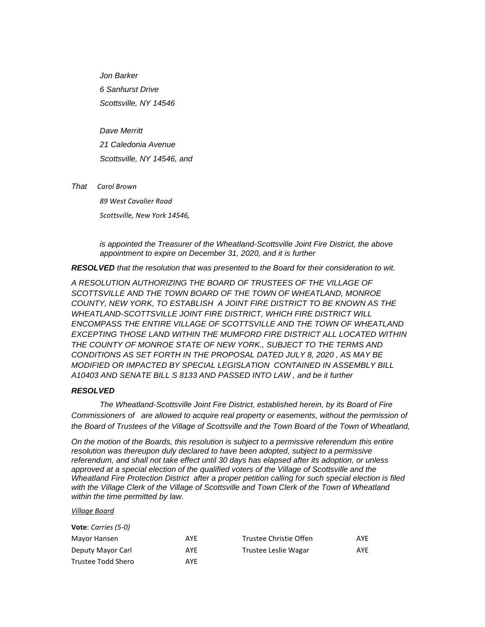*Jon Barker 6 Sanhurst Drive Scottsville, NY 14546*

*Dave Merritt*

*21 Caledonia Avenue Scottsville, NY 14546, and* 

*That Carol Brown*

*89 West Cavalier Road Scottsville, New York 14546,* 

*is appointed the Treasurer of the Wheatland-Scottsville Joint Fire District, the above appointment to expire on December 31, 2020, and it is further*

*RESOLVED that the resolution that was presented to the Board for their consideration to wit.*

*A RESOLUTION AUTHORIZING THE BOARD OF TRUSTEES OF THE VILLAGE OF SCOTTSVILLE AND THE TOWN BOARD OF THE TOWN OF WHEATLAND, MONROE COUNTY, NEW YORK, TO ESTABLISH A JOINT FIRE DISTRICT TO BE KNOWN AS THE WHEATLAND-SCOTTSVILLE JOINT FIRE DISTRICT, WHICH FIRE DISTRICT WILL ENCOMPASS THE ENTIRE VILLAGE OF SCOTTSVILLE AND THE TOWN OF WHEATLAND EXCEPTING THOSE LAND WITHIN THE MUMFORD FIRE DISTRICT ALL LOCATED WITHIN*  THE COUNTY OF MONROE STATE OF NEW YORK., SUBJECT TO THE TERMS AND *CONDITIONS AS SET FORTH IN THE PROPOSAL DATED JULY 8, 2020 , AS MAY BE MODIFIED OR IMPACTED BY SPECIAL LEGISLATION CONTAINED IN ASSEMBLY BILL A10403 AND SENATE BILL S 8133 AND PASSED INTO LAW , and be it further* 

## *RESOLVED*

*The Wheatland-Scottsville Joint Fire District, established herein, by its Board of Fire Commissioners of are allowed to acquire real property or easements, without the permission of the Board of Trustees of the Village of Scottsville and the Town Board of the Town of Wheatland,*

*On the motion of the Boards, this resolution is subject to a permissive referendum this entire resolution was thereupon duly declared to have been adopted, subject to a permissive referendum, and shall not take effect until 30 days has elapsed after its adoption, or unless approved at a special election of the qualified voters of the Village of Scottsville and the Wheatland Fire Protection District after a proper petition calling for such special election is filed with the Village Clerk of the Village of Scottsville and Town Clerk of the Town of Wheatland within the time permitted by law.*

#### *Village Board*

| Vote: Carries (5-0) |     |                        |     |
|---------------------|-----|------------------------|-----|
| Mayor Hansen        | AYF | Trustee Christie Offen | AYE |
| Deputy Mayor Carl   | AYE | Trustee Leslie Wagar   | AYE |
| Trustee Todd Shero  | AYF |                        |     |